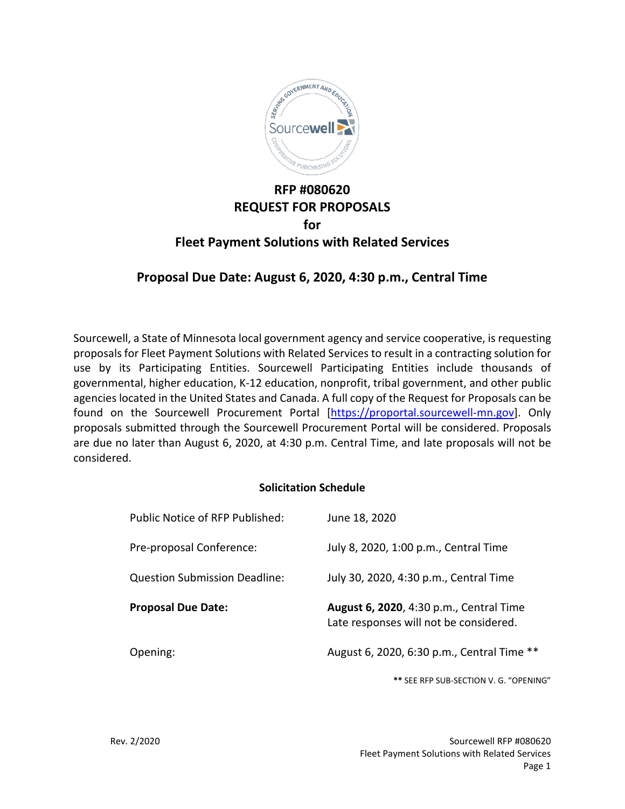

# **RFP #080620 REQUEST FOR PROPOSALS for Fleet Payment Solutions with Related Services**

# **Proposal Due Date: August 6, 2020, 4:30 p.m., Central Time**

Sourcewell, a State of Minnesota local government agency and service cooperative, is requesting proposals for Fleet Payment Solutions with Related Services to result in a contracting solution for use by its Participating Entities. Sourcewell Participating Entities include thousands of governmental, higher education, K-12 education, nonprofit, tribal government, and other public agencies located in the United States and Canada. A full copy of the Request for Proposals can be found on the Sourcewell Procurement Portal [\[https://proportal.sourcewell-mn.gov\]](https://proportal.sourcewell-mn.gov/). Only proposals submitted through the Sourcewell Procurement Portal will be considered. Proposals are due no later than August 6, 2020, at 4:30 p.m. Central Time, and late proposals will not be considered.

### **Solicitation Schedule**

| Public Notice of RFP Published:      | June 18, 2020                                                                     |
|--------------------------------------|-----------------------------------------------------------------------------------|
| Pre-proposal Conference:             | July 8, 2020, 1:00 p.m., Central Time                                             |
| <b>Question Submission Deadline:</b> | July 30, 2020, 4:30 p.m., Central Time                                            |
|                                      |                                                                                   |
| <b>Proposal Due Date:</b>            | August 6, 2020, 4:30 p.m., Central Time<br>Late responses will not be considered. |
|                                      |                                                                                   |

**\*\*** SEE RFP SUB-SECTION V. G. "OPENING"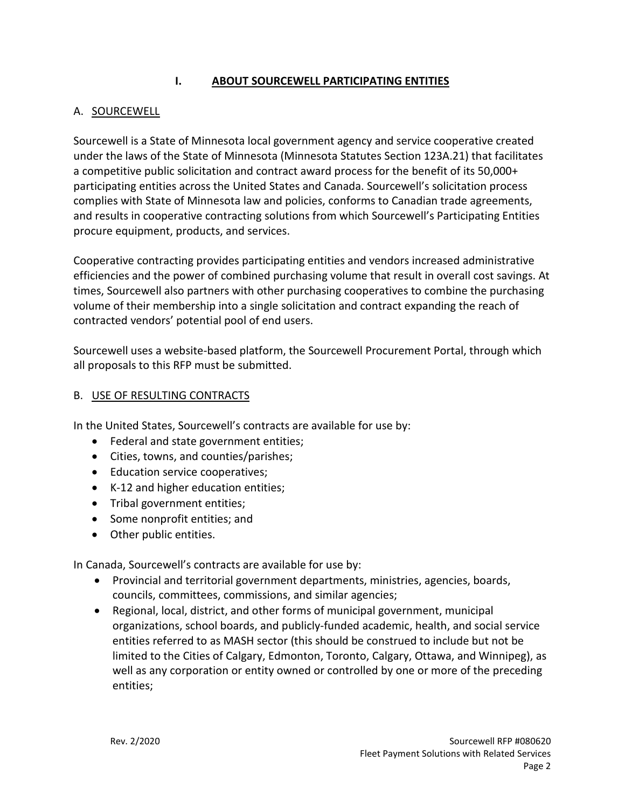## **I. ABOUT SOURCEWELL PARTICIPATING ENTITIES**

## A. SOURCEWELL

Sourcewell is a State of Minnesota local government agency and service cooperative created under the laws of the State of Minnesota (Minnesota Statutes Section 123A.21) that facilitates a competitive public solicitation and contract award process for the benefit of its 50,000+ participating entities across the United States and Canada. Sourcewell's solicitation process complies with State of Minnesota law and policies, conforms to Canadian trade agreements, and results in cooperative contracting solutions from which Sourcewell's Participating Entities procure equipment, products, and services.

Cooperative contracting provides participating entities and vendors increased administrative efficiencies and the power of combined purchasing volume that result in overall cost savings. At times, Sourcewell also partners with other purchasing cooperatives to combine the purchasing volume of their membership into a single solicitation and contract expanding the reach of contracted vendors' potential pool of end users.

Sourcewell uses a website-based platform, the Sourcewell Procurement Portal, through which all proposals to this RFP must be submitted.

#### B. USE OF RESULTING CONTRACTS

In the United States, Sourcewell's contracts are available for use by:

- Federal and state government entities;
- Cities, towns, and counties/parishes;
- Education service cooperatives;
- K-12 and higher education entities;
- Tribal government entities;
- Some nonprofit entities; and
- Other public entities.

In Canada, Sourcewell's contracts are available for use by:

- Provincial and territorial government departments, ministries, agencies, boards, councils, committees, commissions, and similar agencies;
- Regional, local, district, and other forms of municipal government, municipal organizations, school boards, and publicly-funded academic, health, and social service entities referred to as MASH sector (this should be construed to include but not be limited to the Cities of Calgary, Edmonton, Toronto, Calgary, Ottawa, and Winnipeg), as well as any corporation or entity owned or controlled by one or more of the preceding entities;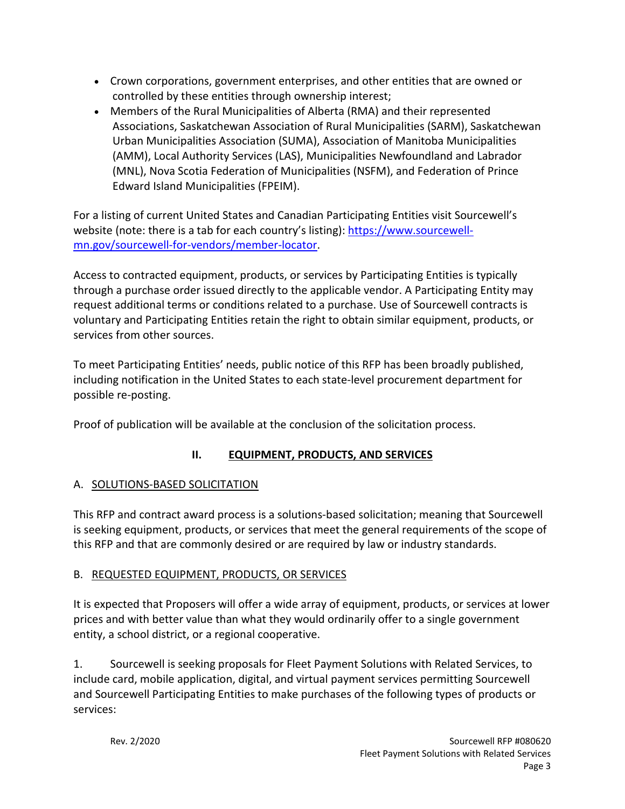- Crown corporations, government enterprises, and other entities that are owned or controlled by these entities through ownership interest;
- Members of the Rural Municipalities of Alberta (RMA) and their represented Associations, Saskatchewan Association of Rural Municipalities (SARM), Saskatchewan Urban Municipalities Association (SUMA), Association of Manitoba Municipalities (AMM), Local Authority Services (LAS), Municipalities Newfoundland and Labrador (MNL), Nova Scotia Federation of Municipalities (NSFM), and Federation of Prince Edward Island Municipalities (FPEIM).

For a listing of current United States and Canadian Participating Entities visit Sourcewell's website (note: there is a tab for each country's listing): [https://www.sourcewell](https://www.sourcewell-mn.gov/sourcewell-for-vendors/member-locator)[mn.gov/sourcewell-for-vendors/member-locator.](https://www.sourcewell-mn.gov/sourcewell-for-vendors/member-locator)

Access to contracted equipment, products, or services by Participating Entities is typically through a purchase order issued directly to the applicable vendor. A Participating Entity may request additional terms or conditions related to a purchase. Use of Sourcewell contracts is voluntary and Participating Entities retain the right to obtain similar equipment, products, or services from other sources.

To meet Participating Entities' needs, public notice of this RFP has been broadly published, including notification in the United States to each state-level procurement department for possible re-posting.

Proof of publication will be available at the conclusion of the solicitation process.

# **II. EQUIPMENT, PRODUCTS, AND SERVICES**

# A. SOLUTIONS-BASED SOLICITATION

This RFP and contract award process is a solutions-based solicitation; meaning that Sourcewell is seeking equipment, products, or services that meet the general requirements of the scope of this RFP and that are commonly desired or are required by law or industry standards.

# B. REQUESTED EQUIPMENT, PRODUCTS, OR SERVICES

It is expected that Proposers will offer a wide array of equipment, products, or services at lower prices and with better value than what they would ordinarily offer to a single government entity, a school district, or a regional cooperative.

1. Sourcewell is seeking proposals for Fleet Payment Solutions with Related Services, to include card, mobile application, digital, and virtual payment services permitting Sourcewell and Sourcewell Participating Entities to make purchases of the following types of products or services: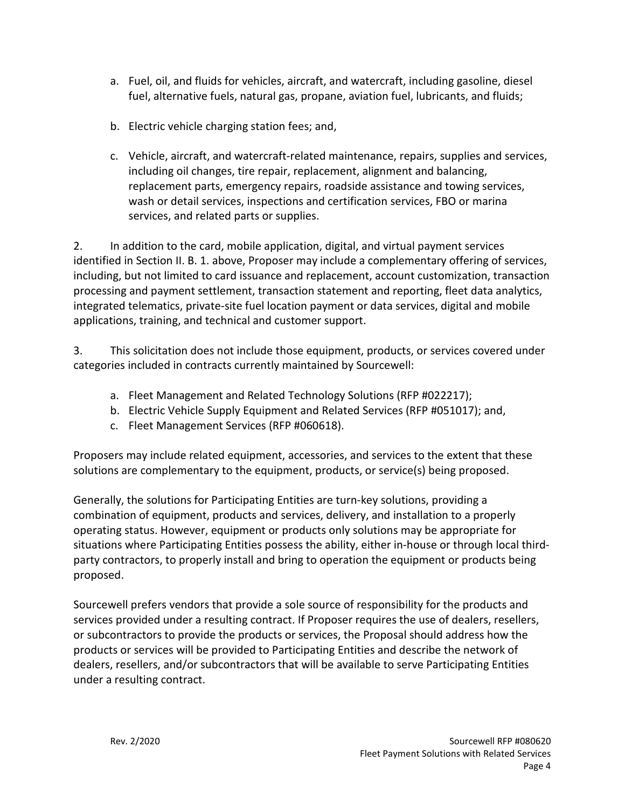- a. Fuel, oil, and fluids for vehicles, aircraft, and watercraft, including gasoline, diesel fuel, alternative fuels, natural gas, propane, aviation fuel, lubricants, and fluids;
- b. Electric vehicle charging station fees; and,
- c. Vehicle, aircraft, and watercraft-related maintenance, repairs, supplies and services, including oil changes, tire repair, replacement, alignment and balancing, replacement parts, emergency repairs, roadside assistance and towing services, wash or detail services, inspections and certification services, FBO or marina services, and related parts or supplies.

2. In addition to the card, mobile application, digital, and virtual payment services identified in Section II. B. 1. above, Proposer may include a complementary offering of services, including, but not limited to card issuance and replacement, account customization, transaction processing and payment settlement, transaction statement and reporting, fleet data analytics, integrated telematics, private-site fuel location payment or data services, digital and mobile applications, training, and technical and customer support.

3. This solicitation does not include those equipment, products, or services covered under categories included in contracts currently maintained by Sourcewell:

- a. Fleet Management and Related Technology Solutions (RFP #022217);
- b. Electric Vehicle Supply Equipment and Related Services (RFP #051017); and,
- c. Fleet Management Services (RFP #060618).

Proposers may include related equipment, accessories, and services to the extent that these solutions are complementary to the equipment, products, or service(s) being proposed.

Generally, the solutions for Participating Entities are turn-key solutions, providing a combination of equipment, products and services, delivery, and installation to a properly operating status. However, equipment or products only solutions may be appropriate for situations where Participating Entities possess the ability, either in-house or through local thirdparty contractors, to properly install and bring to operation the equipment or products being proposed.

Sourcewell prefers vendors that provide a sole source of responsibility for the products and services provided under a resulting contract. If Proposer requires the use of dealers, resellers, or subcontractors to provide the products or services, the Proposal should address how the products or services will be provided to Participating Entities and describe the network of dealers, resellers, and/or subcontractors that will be available to serve Participating Entities under a resulting contract.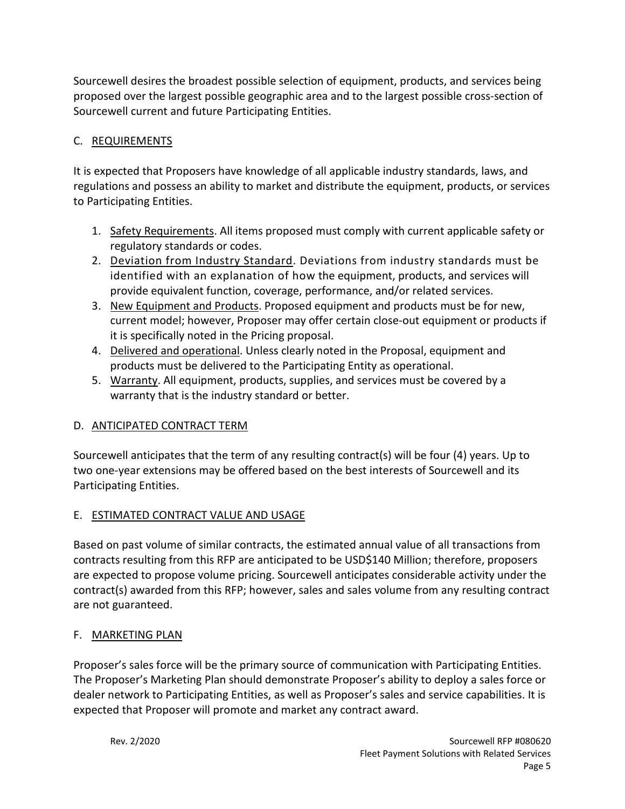Sourcewell desires the broadest possible selection of equipment, products, and services being proposed over the largest possible geographic area and to the largest possible cross-section of Sourcewell current and future Participating Entities.

## C. REQUIREMENTS

It is expected that Proposers have knowledge of all applicable industry standards, laws, and regulations and possess an ability to market and distribute the equipment, products, or services to Participating Entities.

- 1. Safety Requirements. All items proposed must comply with current applicable safety or regulatory standards or codes.
- 2. Deviation from Industry Standard. Deviations from industry standards must be identified with an explanation of how the equipment, products, and services will provide equivalent function, coverage, performance, and/or related services.
- 3. New Equipment and Products. Proposed equipment and products must be for new, current model; however, Proposer may offer certain close-out equipment or products if it is specifically noted in the Pricing proposal.
- 4. Delivered and operational. Unless clearly noted in the Proposal, equipment and products must be delivered to the Participating Entity as operational.
- 5. Warranty. All equipment, products, supplies, and services must be covered by a warranty that is the industry standard or better.

## D. ANTICIPATED CONTRACT TERM

Sourcewell anticipates that the term of any resulting contract(s) will be four (4) years. Up to two one-year extensions may be offered based on the best interests of Sourcewell and its Participating Entities.

## E. ESTIMATED CONTRACT VALUE AND USAGE

Based on past volume of similar contracts, the estimated annual value of all transactions from contracts resulting from this RFP are anticipated to be USD\$140 Million; therefore, proposers are expected to propose volume pricing. Sourcewell anticipates considerable activity under the contract(s) awarded from this RFP; however, sales and sales volume from any resulting contract are not guaranteed.

## F. MARKETING PLAN

Proposer's sales force will be the primary source of communication with Participating Entities. The Proposer's Marketing Plan should demonstrate Proposer's ability to deploy a sales force or dealer network to Participating Entities, as well as Proposer's sales and service capabilities. It is expected that Proposer will promote and market any contract award.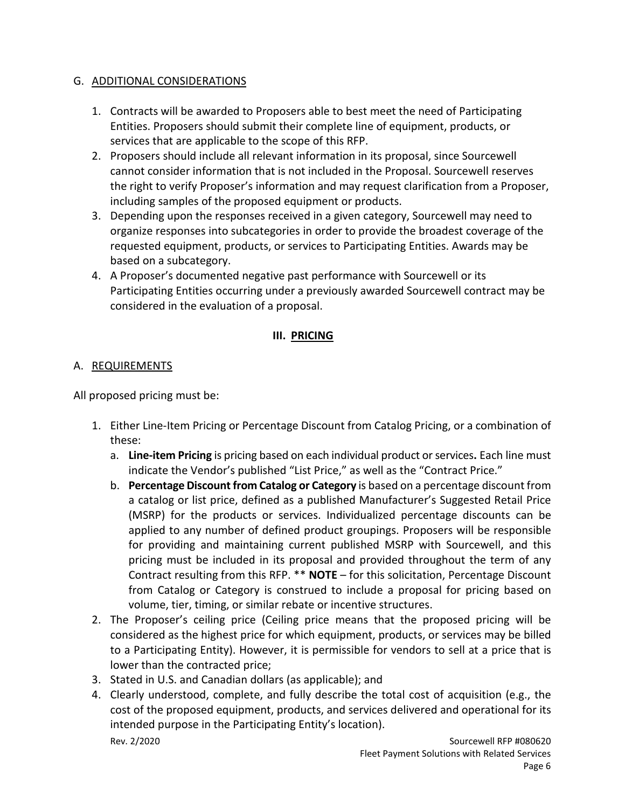### G. ADDITIONAL CONSIDERATIONS

- 1. Contracts will be awarded to Proposers able to best meet the need of Participating Entities. Proposers should submit their complete line of equipment, products, or services that are applicable to the scope of this RFP.
- 2. Proposers should include all relevant information in its proposal, since Sourcewell cannot consider information that is not included in the Proposal. Sourcewell reserves the right to verify Proposer's information and may request clarification from a Proposer, including samples of the proposed equipment or products.
- 3. Depending upon the responses received in a given category, Sourcewell may need to organize responses into subcategories in order to provide the broadest coverage of the requested equipment, products, or services to Participating Entities. Awards may be based on a subcategory.
- 4. A Proposer's documented negative past performance with Sourcewell or its Participating Entities occurring under a previously awarded Sourcewell contract may be considered in the evaluation of a proposal.

### **III. PRICING**

## A. REQUIREMENTS

All proposed pricing must be:

- 1. Either Line-Item Pricing or Percentage Discount from Catalog Pricing, or a combination of these:
	- a. **Line-item Pricing** is pricing based on each individual product or services**.** Each line must indicate the Vendor's published "List Price," as well as the "Contract Price."
	- b. **Percentage Discount from Catalog or Category** is based on a percentage discount from a catalog or list price, defined as a published Manufacturer's Suggested Retail Price (MSRP) for the products or services. Individualized percentage discounts can be applied to any number of defined product groupings. Proposers will be responsible for providing and maintaining current published MSRP with Sourcewell, and this pricing must be included in its proposal and provided throughout the term of any Contract resulting from this RFP. \*\* **NOTE** – for this solicitation, Percentage Discount from Catalog or Category is construed to include a proposal for pricing based on volume, tier, timing, or similar rebate or incentive structures.
- 2. The Proposer's ceiling price (Ceiling price means that the proposed pricing will be considered as the highest price for which equipment, products, or services may be billed to a Participating Entity). However, it is permissible for vendors to sell at a price that is lower than the contracted price;
- 3. Stated in U.S. and Canadian dollars (as applicable); and
- Rev. 2/2020 Sourcewell RFP #080620 4. Clearly understood, complete, and fully describe the total cost of acquisition (e.g., the cost of the proposed equipment, products, and services delivered and operational for its intended purpose in the Participating Entity's location).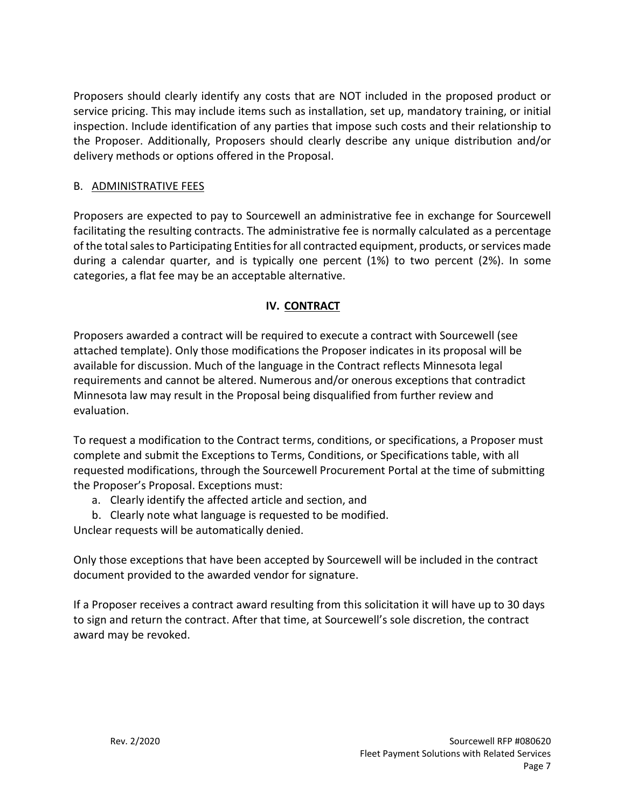Proposers should clearly identify any costs that are NOT included in the proposed product or service pricing. This may include items such as installation, set up, mandatory training, or initial inspection. Include identification of any parties that impose such costs and their relationship to the Proposer. Additionally, Proposers should clearly describe any unique distribution and/or delivery methods or options offered in the Proposal.

## B. ADMINISTRATIVE FEES

Proposers are expected to pay to Sourcewell an administrative fee in exchange for Sourcewell facilitating the resulting contracts. The administrative fee is normally calculated as a percentage of the total sales to Participating Entitiesfor all contracted equipment, products, or services made during a calendar quarter, and is typically one percent (1%) to two percent (2%). In some categories, a flat fee may be an acceptable alternative.

## **IV. CONTRACT**

Proposers awarded a contract will be required to execute a contract with Sourcewell (see attached template). Only those modifications the Proposer indicates in its proposal will be available for discussion. Much of the language in the Contract reflects Minnesota legal requirements and cannot be altered. Numerous and/or onerous exceptions that contradict Minnesota law may result in the Proposal being disqualified from further review and evaluation.

To request a modification to the Contract terms, conditions, or specifications, a Proposer must complete and submit the Exceptions to Terms, Conditions, or Specifications table, with all requested modifications, through the Sourcewell Procurement Portal at the time of submitting the Proposer's Proposal. Exceptions must:

- a. Clearly identify the affected article and section, and
- b. Clearly note what language is requested to be modified.

Unclear requests will be automatically denied.

Only those exceptions that have been accepted by Sourcewell will be included in the contract document provided to the awarded vendor for signature.

If a Proposer receives a contract award resulting from this solicitation it will have up to 30 days to sign and return the contract. After that time, at Sourcewell's sole discretion, the contract award may be revoked.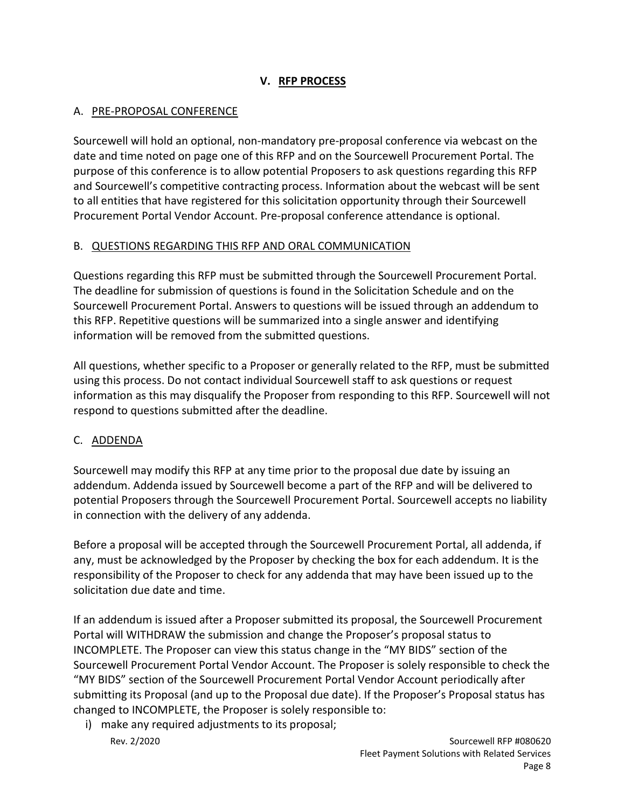## **V. RFP PROCESS**

#### A. PRE-PROPOSAL CONFERENCE

Sourcewell will hold an optional, non-mandatory pre-proposal conference via webcast on the date and time noted on page one of this RFP and on the Sourcewell Procurement Portal. The purpose of this conference is to allow potential Proposers to ask questions regarding this RFP and Sourcewell's competitive contracting process. Information about the webcast will be sent to all entities that have registered for this solicitation opportunity through their Sourcewell Procurement Portal Vendor Account. Pre-proposal conference attendance is optional.

#### B. QUESTIONS REGARDING THIS RFP AND ORAL COMMUNICATION

Questions regarding this RFP must be submitted through the Sourcewell Procurement Portal. The deadline for submission of questions is found in the Solicitation Schedule and on the Sourcewell Procurement Portal. Answers to questions will be issued through an addendum to this RFP. Repetitive questions will be summarized into a single answer and identifying information will be removed from the submitted questions.

All questions, whether specific to a Proposer or generally related to the RFP, must be submitted using this process. Do not contact individual Sourcewell staff to ask questions or request information as this may disqualify the Proposer from responding to this RFP. Sourcewell will not respond to questions submitted after the deadline.

### C. ADDENDA

Sourcewell may modify this RFP at any time prior to the proposal due date by issuing an addendum. Addenda issued by Sourcewell become a part of the RFP and will be delivered to potential Proposers through the Sourcewell Procurement Portal. Sourcewell accepts no liability in connection with the delivery of any addenda.

Before a proposal will be accepted through the Sourcewell Procurement Portal, all addenda, if any, must be acknowledged by the Proposer by checking the box for each addendum. It is the responsibility of the Proposer to check for any addenda that may have been issued up to the solicitation due date and time.

If an addendum is issued after a Proposer submitted its proposal, the Sourcewell Procurement Portal will WITHDRAW the submission and change the Proposer's proposal status to INCOMPLETE. The Proposer can view this status change in the "MY BIDS" section of the Sourcewell Procurement Portal Vendor Account. The Proposer is solely responsible to check the "MY BIDS" section of the Sourcewell Procurement Portal Vendor Account periodically after submitting its Proposal (and up to the Proposal due date). If the Proposer's Proposal status has changed to INCOMPLETE, the Proposer is solely responsible to:

Rev. 2/2020 Sourcewell RFP #080620 i) make any required adjustments to its proposal;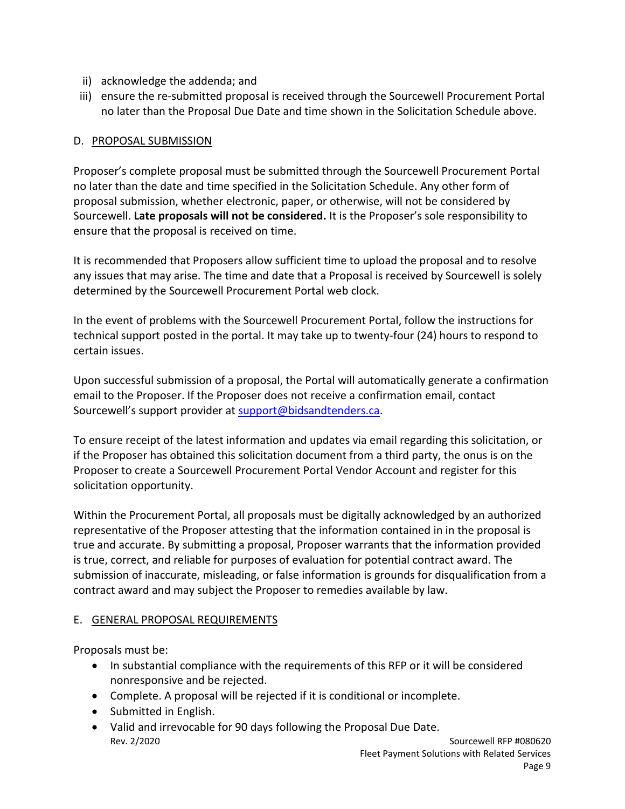- ii) acknowledge the addenda; and
- iii) ensure the re-submitted proposal is received through the Sourcewell Procurement Portal no later than the Proposal Due Date and time shown in the Solicitation Schedule above.

## D. PROPOSAL SUBMISSION

Proposer's complete proposal must be submitted through the Sourcewell Procurement Portal no later than the date and time specified in the Solicitation Schedule. Any other form of proposal submission, whether electronic, paper, or otherwise, will not be considered by Sourcewell. **Late proposals will not be considered.** It is the Proposer's sole responsibility to ensure that the proposal is received on time.

It is recommended that Proposers allow sufficient time to upload the proposal and to resolve any issues that may arise. The time and date that a Proposal is received by Sourcewell is solely determined by the Sourcewell Procurement Portal web clock.

In the event of problems with the Sourcewell Procurement Portal, follow the instructions for technical support posted in the portal. It may take up to twenty-four (24) hours to respond to certain issues.

Upon successful submission of a proposal, the Portal will automatically generate a confirmation email to the Proposer. If the Proposer does not receive a confirmation email, contact Sourcewell's support provider at [support@bidsandtenders.ca.](mailto:support@bidsandtenders.ca)

To ensure receipt of the latest information and updates via email regarding this solicitation, or if the Proposer has obtained this solicitation document from a third party, the onus is on the Proposer to create a Sourcewell Procurement Portal Vendor Account and register for this solicitation opportunity.

Within the Procurement Portal, all proposals must be digitally acknowledged by an authorized representative of the Proposer attesting that the information contained in in the proposal is true and accurate. By submitting a proposal, Proposer warrants that the information provided is true, correct, and reliable for purposes of evaluation for potential contract award. The submission of inaccurate, misleading, or false information is grounds for disqualification from a contract award and may subject the Proposer to remedies available by law.

### E. GENERAL PROPOSAL REQUIREMENTS

Proposals must be:

- In substantial compliance with the requirements of this RFP or it will be considered nonresponsive and be rejected.
- Complete. A proposal will be rejected if it is conditional or incomplete.
- Submitted in English.
- Rev. 2/2020 Sourcewell RFP #080620 • Valid and irrevocable for 90 days following the Proposal Due Date.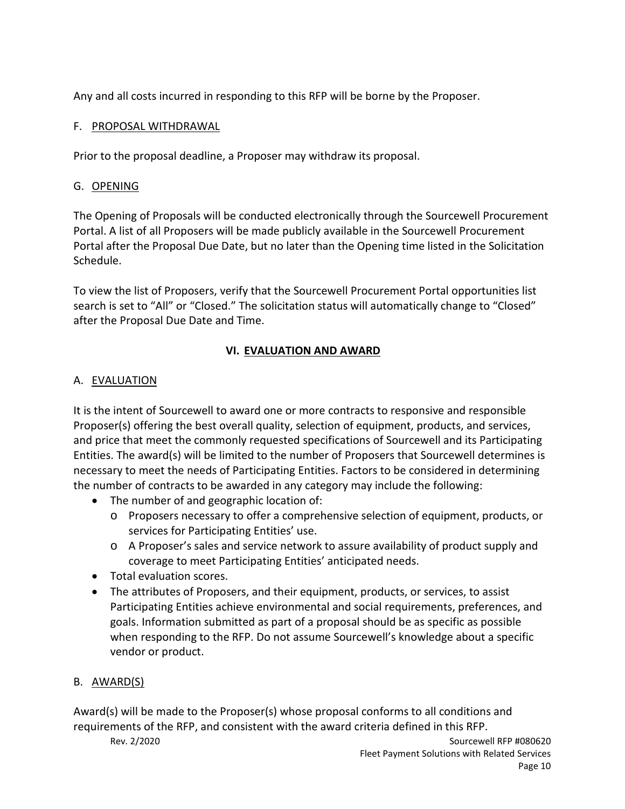Any and all costs incurred in responding to this RFP will be borne by the Proposer.

## F. PROPOSAL WITHDRAWAL

Prior to the proposal deadline, a Proposer may withdraw its proposal.

## G. OPENING

The Opening of Proposals will be conducted electronically through the Sourcewell Procurement Portal. A list of all Proposers will be made publicly available in the Sourcewell Procurement Portal after the Proposal Due Date, but no later than the Opening time listed in the Solicitation Schedule.

To view the list of Proposers, verify that the Sourcewell Procurement Portal opportunities list search is set to "All" or "Closed." The solicitation status will automatically change to "Closed" after the Proposal Due Date and Time.

## **VI. EVALUATION AND AWARD**

## A. EVALUATION

It is the intent of Sourcewell to award one or more contracts to responsive and responsible Proposer(s) offering the best overall quality, selection of equipment, products, and services, and price that meet the commonly requested specifications of Sourcewell and its Participating Entities. The award(s) will be limited to the number of Proposers that Sourcewell determines is necessary to meet the needs of Participating Entities. Factors to be considered in determining the number of contracts to be awarded in any category may include the following:

- The number of and geographic location of:
	- o Proposers necessary to offer a comprehensive selection of equipment, products, or services for Participating Entities' use.
	- o A Proposer's sales and service network to assure availability of product supply and coverage to meet Participating Entities' anticipated needs.
- Total evaluation scores.
- The attributes of Proposers, and their equipment, products, or services, to assist Participating Entities achieve environmental and social requirements, preferences, and goals. Information submitted as part of a proposal should be as specific as possible when responding to the RFP. Do not assume Sourcewell's knowledge about a specific vendor or product.

## B. AWARD(S)

Award(s) will be made to the Proposer(s) whose proposal conforms to all conditions and requirements of the RFP, and consistent with the award criteria defined in this RFP.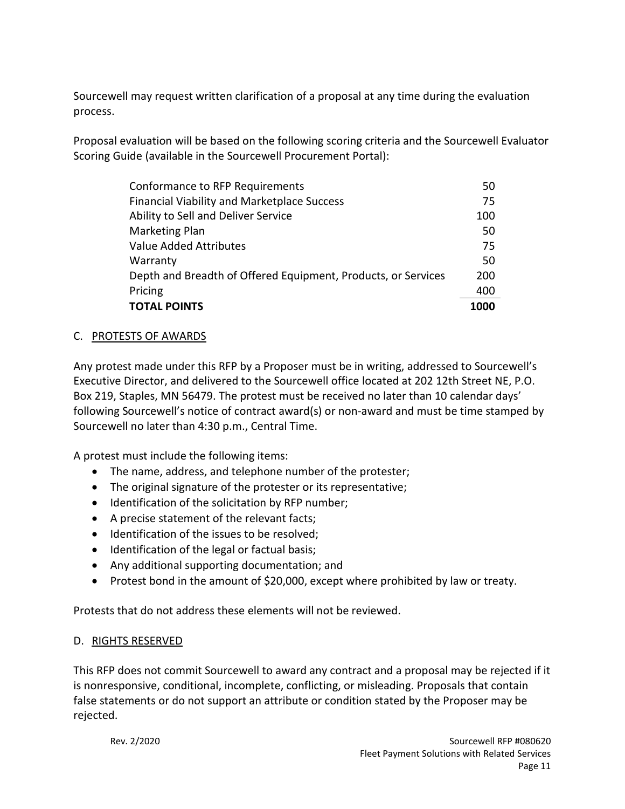Sourcewell may request written clarification of a proposal at any time during the evaluation process.

Proposal evaluation will be based on the following scoring criteria and the Sourcewell Evaluator Scoring Guide (available in the Sourcewell Procurement Portal):

| Conformance to RFP Requirements                               | 50   |
|---------------------------------------------------------------|------|
| <b>Financial Viability and Marketplace Success</b>            | 75   |
| Ability to Sell and Deliver Service                           | 100  |
| <b>Marketing Plan</b>                                         | 50   |
| <b>Value Added Attributes</b>                                 | 75   |
| Warranty                                                      | 50   |
| Depth and Breadth of Offered Equipment, Products, or Services | 200  |
| Pricing                                                       | 400  |
| <b>TOTAL POINTS</b>                                           | 1000 |

### C. PROTESTS OF AWARDS

Any protest made under this RFP by a Proposer must be in writing, addressed to Sourcewell's Executive Director, and delivered to the Sourcewell office located at 202 12th Street NE, P.O. Box 219, Staples, MN 56479. The protest must be received no later than 10 calendar days' following Sourcewell's notice of contract award(s) or non-award and must be time stamped by Sourcewell no later than 4:30 p.m., Central Time.

A protest must include the following items:

- The name, address, and telephone number of the protester;
- The original signature of the protester or its representative;
- Identification of the solicitation by RFP number;
- A precise statement of the relevant facts;
- Identification of the issues to be resolved;
- Identification of the legal or factual basis;
- Any additional supporting documentation; and
- Protest bond in the amount of \$20,000, except where prohibited by law or treaty.

Protests that do not address these elements will not be reviewed.

### D. RIGHTS RESERVED

This RFP does not commit Sourcewell to award any contract and a proposal may be rejected if it is nonresponsive, conditional, incomplete, conflicting, or misleading. Proposals that contain false statements or do not support an attribute or condition stated by the Proposer may be rejected.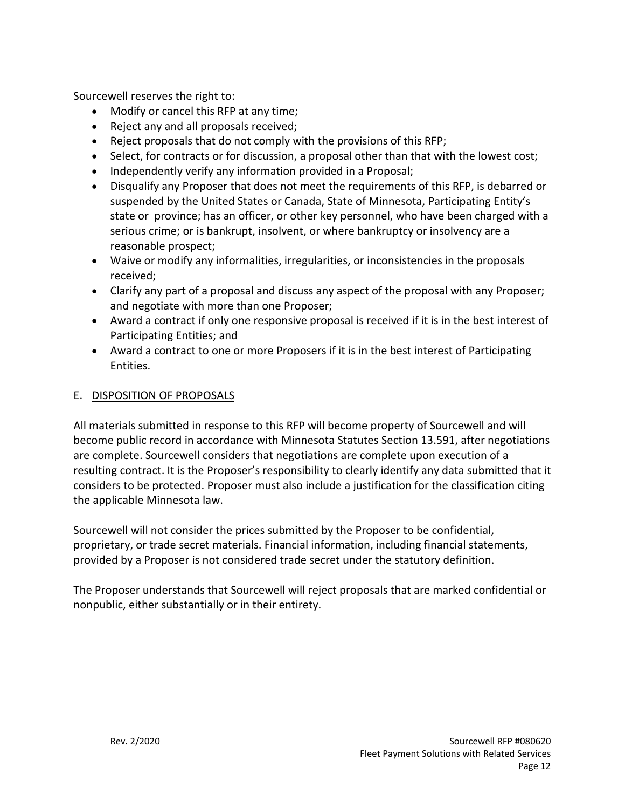Sourcewell reserves the right to:

- Modify or cancel this RFP at any time;
- Reject any and all proposals received;
- Reject proposals that do not comply with the provisions of this RFP;
- Select, for contracts or for discussion, a proposal other than that with the lowest cost;
- Independently verify any information provided in a Proposal;
- Disqualify any Proposer that does not meet the requirements of this RFP, is debarred or suspended by the United States or Canada, State of Minnesota, Participating Entity's state or province; has an officer, or other key personnel, who have been charged with a serious crime; or is bankrupt, insolvent, or where bankruptcy or insolvency are a reasonable prospect;
- Waive or modify any informalities, irregularities, or inconsistencies in the proposals received;
- Clarify any part of a proposal and discuss any aspect of the proposal with any Proposer; and negotiate with more than one Proposer;
- Award a contract if only one responsive proposal is received if it is in the best interest of Participating Entities; and
- Award a contract to one or more Proposers if it is in the best interest of Participating Entities.

#### E. DISPOSITION OF PROPOSALS

All materials submitted in response to this RFP will become property of Sourcewell and will become public record in accordance with Minnesota Statutes Section 13.591, after negotiations are complete. Sourcewell considers that negotiations are complete upon execution of a resulting contract. It is the Proposer's responsibility to clearly identify any data submitted that it considers to be protected. Proposer must also include a justification for the classification citing the applicable Minnesota law.

Sourcewell will not consider the prices submitted by the Proposer to be confidential, proprietary, or trade secret materials. Financial information, including financial statements, provided by a Proposer is not considered trade secret under the statutory definition.

The Proposer understands that Sourcewell will reject proposals that are marked confidential or nonpublic, either substantially or in their entirety.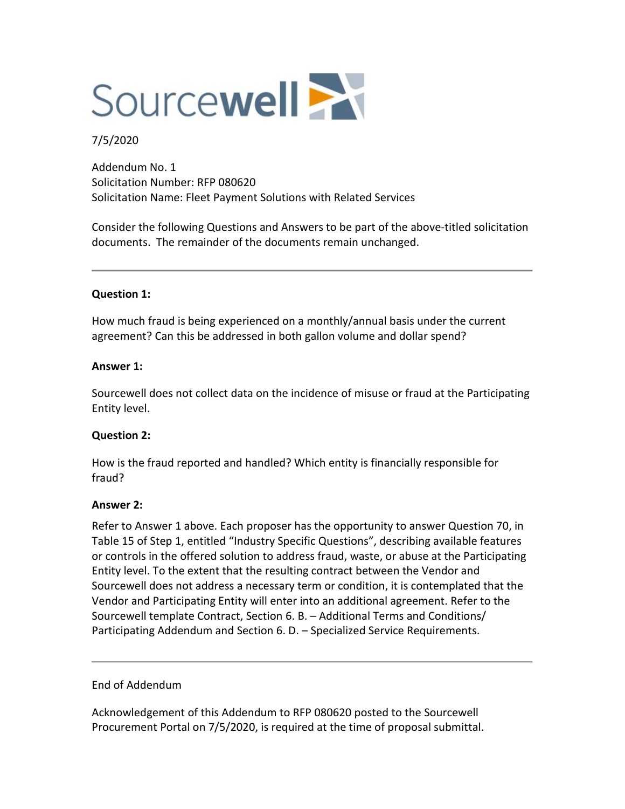

#### 7/5/2020

Addendum No. 1 Solicitation Number: RFP 080620 Solicitation Name: Fleet Payment Solutions with Related Services

Consider the following Questions and Answers to be part of the above-titled solicitation documents. The remainder of the documents remain unchanged.

#### **Question 1:**

How much fraud is being experienced on a monthly/annual basis under the current agreement? Can this be addressed in both gallon volume and dollar spend?

#### **Answer 1:**

Sourcewell does not collect data on the incidence of misuse or fraud at the Participating Entity level.

#### **Question 2:**

How is the fraud reported and handled? Which entity is financially responsible for fraud?

#### **Answer 2:**

Refer to Answer 1 above. Each proposer has the opportunity to answer Question 70, in Table 15 of Step 1, entitled "Industry Specific Questions", describing available features or controls in the offered solution to address fraud, waste, or abuse at the Participating Entity level. To the extent that the resulting contract between the Vendor and Sourcewell does not address a necessary term or condition, it is contemplated that the Vendor and Participating Entity will enter into an additional agreement. Refer to the Sourcewell template Contract, Section 6. B. – Additional Terms and Conditions/ Participating Addendum and Section 6. D. – Specialized Service Requirements.

#### End of Addendum

Acknowledgement of this Addendum to RFP 080620 posted to the Sourcewell Procurement Portal on 7/5/2020, is required at the time of proposal submittal.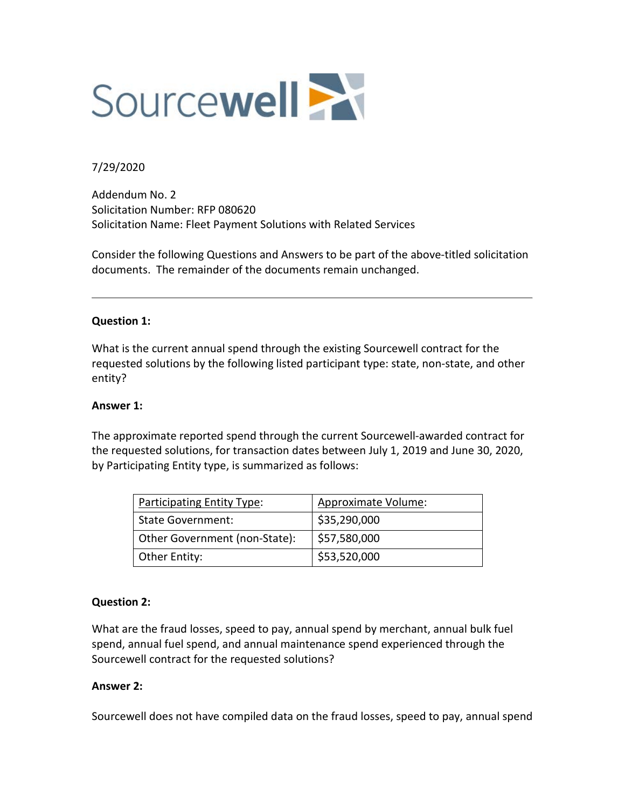

#### 7/29/2020

Addendum No. 2 Solicitation Number: RFP 080620 Solicitation Name: Fleet Payment Solutions with Related Services

Consider the following Questions and Answers to be part of the above-titled solicitation documents. The remainder of the documents remain unchanged.

#### **Question 1:**

What is the current annual spend through the existing Sourcewell contract for the requested solutions by the following listed participant type: state, non-state, and other entity?

#### **Answer 1:**

The approximate reported spend through the current Sourcewell-awarded contract for the requested solutions, for transaction dates between July 1, 2019 and June 30, 2020, by Participating Entity type, is summarized as follows:

| <b>Participating Entity Type:</b> | Approximate Volume: |
|-----------------------------------|---------------------|
| <b>State Government:</b>          | \$35,290,000        |
| Other Government (non-State):     | \$57,580,000        |
| Other Entity:                     | \$53,520,000        |

#### **Question 2:**

What are the fraud losses, speed to pay, annual spend by merchant, annual bulk fuel spend, annual fuel spend, and annual maintenance spend experienced through the Sourcewell contract for the requested solutions?

#### **Answer 2:**

Sourcewell does not have compiled data on the fraud losses, speed to pay, annual spend